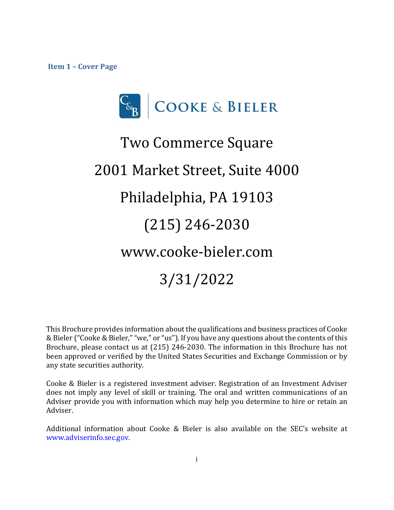<span id="page-0-0"></span>**Item 1 – Cover Page**



# Two Commerce Square 2001 Market Street, Suite 4000 Philadelphia, PA 19103 (215) 246-2030 www.cooke-bieler.com 3/31/2022

This Brochure provides information about the qualifications and business practices of Cooke & Bieler ("Cooke & Bieler," "we," or "us"). If you have any questions about the contents of this Brochure, please contact us at (215) 246-2030. The information in this Brochure has not been approved or verified by the United States Securities and Exchange Commission or by any state securities authority.

Cooke & Bieler is a registered investment adviser. Registration of an Investment Adviser does not imply any level of skill or training. The oral and written communications of an Adviser provide you with information which may help you determine to hire or retain an Adviser.

Additional information about Cooke & Bieler is also available on the SEC's website at [www.adviserinfo.sec.gov.](http://www.adviserinfo.sec.gov/)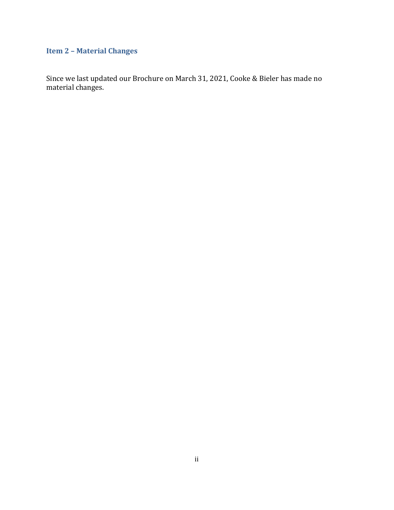# <span id="page-1-0"></span>**Item 2 – Material Changes**

Since we last updated our Brochure on March 31, 2021, Cooke & Bieler has made no material changes.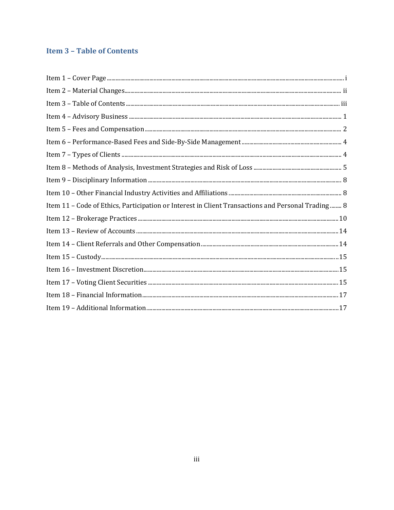# <span id="page-2-0"></span>**Item 3 - Table of Contents**

| Item 11 - Code of Ethics, Participation or Interest in Client Transactions and Personal Trading 8 |
|---------------------------------------------------------------------------------------------------|
|                                                                                                   |
|                                                                                                   |
|                                                                                                   |
|                                                                                                   |
|                                                                                                   |
|                                                                                                   |
|                                                                                                   |
|                                                                                                   |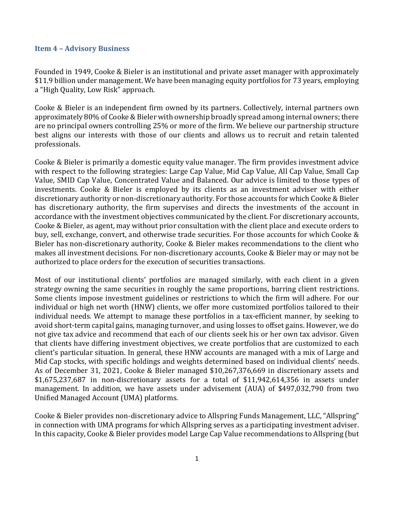#### <span id="page-3-0"></span>**Item 4 – Advisory Business**

Founded in 1949, Cooke & Bieler is an institutional and private asset manager with approximately \$11.9 billion under management. We have been managing equity portfolios for 73 years, employing a "High Quality, Low Risk" approach.

Cooke & Bieler is an independent firm owned by its partners. Collectively, internal partners own approximately 80% of Cooke & Bieler with ownership broadly spread among internal owners; there are no principal owners controlling 25% or more of the firm. We believe our partnership structure best aligns our interests with those of our clients and allows us to recruit and retain talented professionals.

Cooke & Bieler is primarily a domestic equity value manager. The firm provides investment advice with respect to the following strategies: Large Cap Value, Mid Cap Value, All Cap Value, Small Cap Value, SMID Cap Value, Concentrated Value and Balanced. Our advice is limited to those types of investments. Cooke & Bieler is employed by its clients as an investment adviser with either discretionary authority or non-discretionary authority. For those accounts for which Cooke & Bieler has discretionary authority, the firm supervises and directs the investments of the account in accordance with the investment objectives communicated by the client. For discretionary accounts, Cooke & Bieler, as agent, may without prior consultation with the client place and execute orders to buy, sell, exchange, convert, and otherwise trade securities. For those accounts for which Cooke & Bieler has non-discretionary authority, Cooke & Bieler makes recommendations to the client who makes all investment decisions. For non-discretionary accounts, Cooke & Bieler may or may not be authorized to place orders for the execution of securities transactions.

Most of our institutional clients' portfolios are managed similarly, with each client in a given strategy owning the same securities in roughly the same proportions, barring client restrictions. Some clients impose investment guidelines or restrictions to which the firm will adhere. For our individual or high net worth (HNW) clients, we offer more customized portfolios tailored to their individual needs. We attempt to manage these portfolios in a tax-efficient manner, by seeking to avoid short-term capital gains, managing turnover, and using losses to offset gains. However, we do not give tax advice and recommend that each of our clients seek his or her own tax advisor. Given that clients have differing investment objectives, we create portfolios that are customized to each client's particular situation. In general, these HNW accounts are managed with a mix of Large and Mid Cap stocks, with specific holdings and weights determined based on individual clients' needs. As of December 31, 2021, Cooke & Bieler managed \$10,267,376,669 in discretionary assets and \$1,675,237,687 in non-discretionary assets for a total of \$11,942,614,356 in assets under management. In addition, we have assets under advisement (AUA) of \$497,032,790 from two Unified Managed Account (UMA) platforms.

Cooke & Bieler provides non-discretionary advice to Allspring Funds Management, LLC, "Allspring" in connection with UMA programs for which Allspring serves as a participating investment adviser. In this capacity, Cooke & Bieler provides model Large Cap Value recommendations to Allspring (but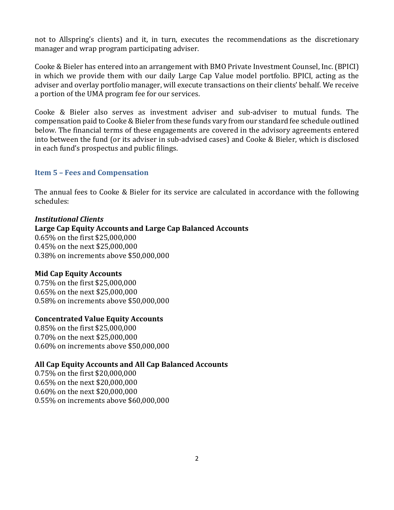not to Allspring's clients) and it, in turn, executes the recommendations as the discretionary manager and wrap program participating adviser.

Cooke & Bieler has entered into an arrangement with BMO Private Investment Counsel, Inc. (BPICI) in which we provide them with our daily Large Cap Value model portfolio. BPICI, acting as the adviser and overlay portfolio manager, will execute transactions on their clients' behalf. We receive a portion of the UMA program fee for our services.

Cooke & Bieler also serves as investment adviser and sub-adviser to mutual funds. The compensation paid to Cooke & Bieler from these funds vary from our standard fee schedule outlined below. The financial terms of these engagements are covered in the advisory agreements entered into between the fund (or its adviser in sub-advised cases) and Cooke & Bieler, which is disclosed in each fund's prospectus and public filings.

# <span id="page-4-0"></span>**Item 5 – Fees and Compensation**

The annual fees to Cooke & Bieler for its service are calculated in accordance with the following schedules:

#### *Institutional Clients*

**Large Cap Equity Accounts and Large Cap Balanced Accounts** 0.65% on the first \$25,000,000 0.45% on the next \$25,000,000 0.38% on increments above \$50,000,000

# **Mid Cap Equity Accounts**

0.75% on the first \$25,000,000 0.65% on the next \$25,000,000 0.58% on increments above \$50,000,000

# **Concentrated Value Equity Accounts**

0.85% on the first \$25,000,000 0.70% on the next \$25,000,000 0.60% on increments above \$50,000,000

# **All Cap Equity Accounts and All Cap Balanced Accounts**

0.75% on the first \$20,000,000 0.65% on the next \$20,000,000 0.60% on the next \$20,000,000 0.55% on increments above \$60,000,000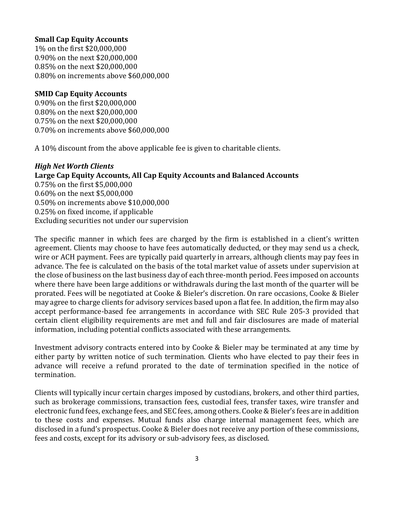#### **Small Cap Equity Accounts**

1% on the first \$20,000,000 0.90% on the next \$20,000,000 0.85% on the next \$20,000,000 0.80% on increments above \$60,000,000

## **SMID Cap Equity Accounts**

0.90% on the first \$20,000,000 0.80% on the next \$20,000,000 0.75% on the next \$20,000,000 0.70% on increments above \$60,000,000

A 10% discount from the above applicable fee is given to charitable clients.

# *High Net Worth Clients* **Large Cap Equity Accounts, All Cap Equity Accounts and Balanced Accounts** 0.75% on the first \$5,000,000 0.60% on the next \$5,000,000 0.50% on increments above \$10,000,000 0.25% on fixed income, if applicable Excluding securities not under our supervision

The specific manner in which fees are charged by the firm is established in a client's written agreement. Clients may choose to have fees automatically deducted, or they may send us a check, wire or ACH payment. Fees are typically paid quarterly in arrears, although clients may pay fees in advance. The fee is calculated on the basis of the total market value of assets under supervision at the close of business on the last business day of each three-month period. Fees imposed on accounts where there have been large additions or withdrawals during the last month of the quarter will be prorated. Fees will be negotiated at Cooke & Bieler's discretion. On rare occasions, Cooke & Bieler may agree to charge clients for advisory services based upon a flat fee. In addition, the firm may also accept performance-based fee arrangements in accordance with SEC Rule 205-3 provided that certain client eligibility requirements are met and full and fair disclosures are made of material information, including potential conflicts associated with these arrangements.

Investment advisory contracts entered into by Cooke & Bieler may be terminated at any time by either party by written notice of such termination. Clients who have elected to pay their fees in advance will receive a refund prorated to the date of termination specified in the notice of termination.

Clients will typically incur certain charges imposed by custodians, brokers, and other third parties, such as brokerage commissions, transaction fees, custodial fees, transfer taxes, wire transfer and electronic fund fees, exchange fees, and SEC fees, among others. Cooke & Bieler's fees are in addition to these costs and expenses. Mutual funds also charge internal management fees, which are disclosed in a fund's prospectus. Cooke & Bieler does not receive any portion of these commissions, fees and costs, except for its advisory or sub-advisory fees, as disclosed.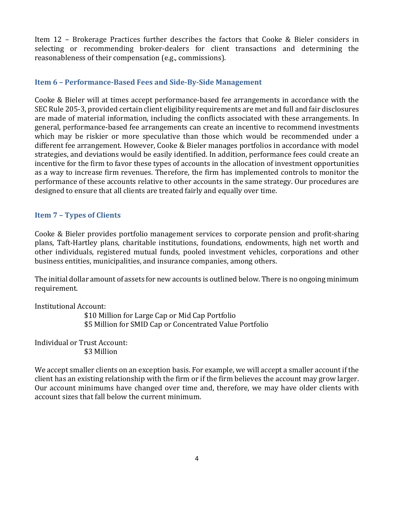Item 12 – Brokerage Practices further describes the factors that Cooke & Bieler considers in selecting or recommending broker-dealers for client transactions and determining the reasonableness of their compensation (e.g., commissions).

# <span id="page-6-0"></span>**Item 6 – Performance-Based Fees and Side-By-Side Management**

Cooke & Bieler will at times accept performance-based fee arrangements in accordance with the SEC Rule 205-3, provided certain client eligibility requirements are met and full and fair disclosures are made of material information, including the conflicts associated with these arrangements. In general, performance-based fee arrangements can create an incentive to recommend investments which may be riskier or more speculative than those which would be recommended under a different fee arrangement. However, Cooke & Bieler manages portfolios in accordance with model strategies, and deviations would be easily identified. In addition, performance fees could create an incentive for the firm to favor these types of accounts in the allocation of investment opportunities as a way to increase firm revenues. Therefore, the firm has implemented controls to monitor the performance of these accounts relative to other accounts in the same strategy. Our procedures are designed to ensure that all clients are treated fairly and equally over time.

# <span id="page-6-1"></span>**Item 7 – Types of Clients**

Cooke & Bieler provides portfolio management services to corporate pension and profit-sharing plans, Taft-Hartley plans, charitable institutions, foundations, endowments, high net worth and other individuals, registered mutual funds, pooled investment vehicles, corporations and other business entities, municipalities, and insurance companies, among others.

The initial dollar amount of assets for new accounts is outlined below. There is no ongoing minimum requirement.

Institutional Account:

 \$10 Million for Large Cap or Mid Cap Portfolio \$5 Million for SMID Cap or Concentrated Value Portfolio

Individual or Trust Account: \$3 Million

We accept smaller clients on an exception basis. For example, we will accept a smaller account if the client has an existing relationship with the firm or if the firm believes the account may grow larger. Our account minimums have changed over time and, therefore, we may have older clients with account sizes that fall below the current minimum.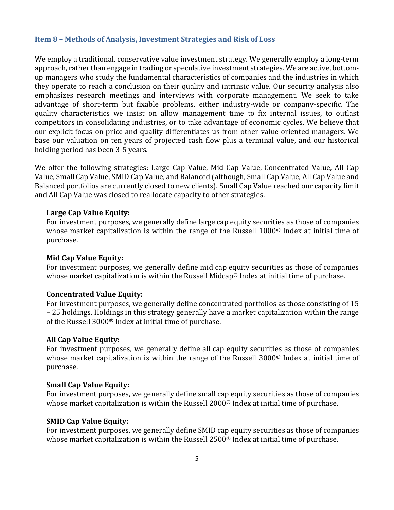#### <span id="page-7-0"></span>**Item 8 – Methods of Analysis, Investment Strategies and Risk of Loss**

We employ a traditional, conservative value investment strategy. We generally employ a long-term approach, rather than engage in trading or speculative investment strategies. We are active, bottomup managers who study the fundamental characteristics of companies and the industries in which they operate to reach a conclusion on their quality and intrinsic value. Our security analysis also emphasizes research meetings and interviews with corporate management. We seek to take advantage of short-term but fixable problems, either industry-wide or company-specific. The quality characteristics we insist on allow management time to fix internal issues, to outlast competitors in consolidating industries, or to take advantage of economic cycles. We believe that our explicit focus on price and quality differentiates us from other value oriented managers. We base our valuation on ten years of projected cash flow plus a terminal value, and our historical holding period has been 3-5 years.

We offer the following strategies: Large Cap Value, Mid Cap Value, Concentrated Value, All Cap Value, Small Cap Value, SMID Cap Value, and Balanced (although, Small Cap Value, All Cap Value and Balanced portfolios are currently closed to new clients). Small Cap Value reached our capacity limit and All Cap Value was closed to reallocate capacity to other strategies.

#### **Large Cap Value Equity:**

For investment purposes, we generally define large cap equity securities as those of companies whose market capitalization is within the range of the Russell 1000® Index at initial time of purchase.

#### **Mid Cap Value Equity:**

For investment purposes, we generally define mid cap equity securities as those of companies whose market capitalization is within the Russell Midcap® Index at initial time of purchase.

#### **Concentrated Value Equity:**

For investment purposes, we generally define concentrated portfolios as those consisting of 15 – 25 holdings. Holdings in this strategy generally have a market capitalization within the range of the Russell 3000® Index at initial time of purchase.

# **All Cap Value Equity:**

For investment purposes, we generally define all cap equity securities as those of companies whose market capitalization is within the range of the Russell 3000® Index at initial time of purchase.

#### **Small Cap Value Equity:**

For investment purposes, we generally define small cap equity securities as those of companies whose market capitalization is within the Russell 2000® Index at initial time of purchase.

#### **SMID Cap Value Equity:**

For investment purposes, we generally define SMID cap equity securities as those of companies whose market capitalization is within the Russell 2500® Index at initial time of purchase.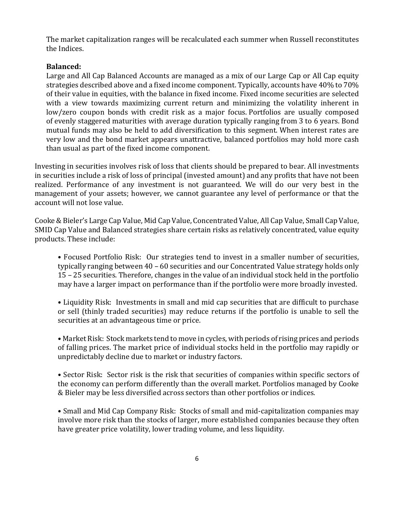The market capitalization ranges will be recalculated each summer when Russell reconstitutes the Indices.

#### **Balanced:**

Large and All Cap Balanced Accounts are managed as a mix of our Large Cap or All Cap equity strategies described above and a fixed income component. Typically, accounts have 40% to 70% of their value in equities, with the balance in fixed income. Fixed income securities are selected with a view towards maximizing current return and minimizing the volatility inherent in low/zero coupon bonds with credit risk as a major focus. Portfolios are usually composed of evenly staggered maturities with average duration typically ranging from 3 to 6 years. Bond mutual funds may also be held to add diversification to this segment. When interest rates are very low and the bond market appears unattractive, balanced portfolios may hold more cash than usual as part of the fixed income component.

Investing in securities involves risk of loss that clients should be prepared to bear. All investments in securities include a risk of loss of principal (invested amount) and any profits that have not been realized. Performance of any investment is not guaranteed. We will do our very best in the management of your assets; however, we cannot guarantee any level of performance or that the account will not lose value.

Cooke & Bieler's Large Cap Value, Mid Cap Value, Concentrated Value, All Cap Value, Small Cap Value, SMID Cap Value and Balanced strategies share certain risks as relatively concentrated, value equity products. These include:

• Focused Portfolio Risk: Our strategies tend to invest in a smaller number of securities, typically ranging between 40 – 60 securities and our Concentrated Value strategy holds only 15 – 25 securities. Therefore, changes in the value of an individual stock held in the portfolio may have a larger impact on performance than if the portfolio were more broadly invested.

• Liquidity Risk: Investments in small and mid cap securities that are difficult to purchase or sell (thinly traded securities) may reduce returns if the portfolio is unable to sell the securities at an advantageous time or price.

• Market Risk: Stock markets tend to move in cycles, with periods of rising prices and periods of falling prices. The market price of individual stocks held in the portfolio may rapidly or unpredictably decline due to market or industry factors.

• Sector Risk: Sector risk is the risk that securities of companies within specific sectors of the economy can perform differently than the overall market. Portfolios managed by Cooke & Bieler may be less diversified across sectors than other portfolios or indices.

• Small and Mid Cap Company Risk: Stocks of small and mid-capitalization companies may involve more risk than the stocks of larger, more established companies because they often have greater price volatility, lower trading volume, and less liquidity.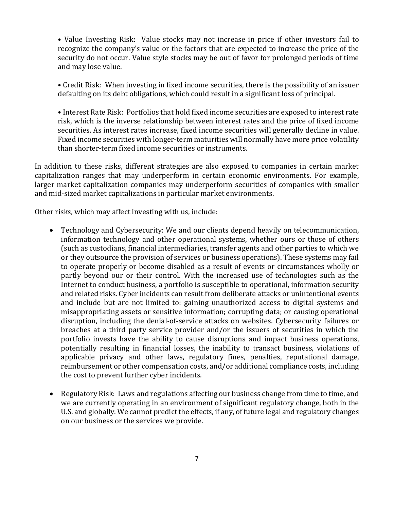• Value Investing Risk: Value stocks may not increase in price if other investors fail to recognize the company's value or the factors that are expected to increase the price of the security do not occur. Value style stocks may be out of favor for prolonged periods of time and may lose value.

• Credit Risk: When investing in fixed income securities, there is the possibility of an issuer defaulting on its debt obligations, which could result in a significant loss of principal.

• Interest Rate Risk: Portfolios that hold fixed income securities are exposed to interest rate risk, which is the inverse relationship between interest rates and the price of fixed income securities. As interest rates increase, fixed income securities will generally decline in value. Fixed income securities with longer-term maturities will normally have more price volatility than shorter-term fixed income securities or instruments.

In addition to these risks, different strategies are also exposed to companies in certain market capitalization ranges that may underperform in certain economic environments. For example, larger market capitalization companies may underperform securities of companies with smaller and mid-sized market capitalizations in particular market environments.

Other risks, which may affect investing with us, include:

- Technology and Cybersecurity: We and our clients depend heavily on telecommunication, information technology and other operational systems, whether ours or those of others (such as custodians, financial intermediaries, transfer agents and other parties to which we or they outsource the provision of services or business operations). These systems may fail to operate properly or become disabled as a result of events or circumstances wholly or partly beyond our or their control. With the increased use of technologies such as the Internet to conduct business, a portfolio is susceptible to operational, information security and related risks. Cyber incidents can result from deliberate attacks or unintentional events and include but are not limited to: gaining unauthorized access to digital systems and misappropriating assets or sensitive information; corrupting data; or causing operational disruption, including the denial-of-service attacks on websites. Cybersecurity failures or breaches at a third party service provider and/or the issuers of securities in which the portfolio invests have the ability to cause disruptions and impact business operations, potentially resulting in financial losses, the inability to transact business, violations of applicable privacy and other laws, regulatory fines, penalties, reputational damage, reimbursement or other compensation costs, and/or additional compliance costs, including the cost to prevent further cyber incidents.
- Regulatory Risk: Laws and regulations affecting our business change from time to time, and we are currently operating in an environment of significant regulatory change, both in the U.S. and globally. We cannot predict the effects, if any, of future legal and regulatory changes on our business or the services we provide.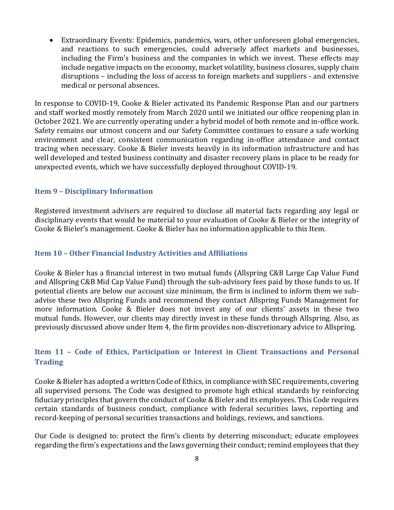• Extraordinary Events: Epidemics, pandemics, wars, other unforeseen global emergencies, and reactions to such emergencies, could adversely affect markets and businesses, including the Firm's business and the companies in which we invest. These effects may include negative impacts on the economy, market volatility, business closures, supply chain disruptions – including the loss of access to foreign markets and suppliers - and extensive medical or personal absences.

In response to COVID-19, Cooke & Bieler activated its Pandemic Response Plan and our partners and staff worked mostly remotely from March 2020 until we initiated our office reopening plan in October 2021. We are currently operating under a hybrid model of both remote and in-office work. Safety remains our utmost concern and our Safety Committee continues to ensure a safe working environment and clear, consistent communication regarding in-office attendance and contact tracing when necessary. Cooke & Bieler invests heavily in its information infrastructure and has well developed and tested business continuity and disaster recovery plans in place to be ready for unexpected events, which we have successfully deployed throughout COVID-19.

#### <span id="page-10-0"></span>**Item 9 – Disciplinary Information**

Registered investment advisers are required to disclose all material facts regarding any legal or disciplinary events that would be material to your evaluation of Cooke & Bieler or the integrity of Cooke & Bieler's management. Cooke & Bieler has no information applicable to this Item.

## <span id="page-10-1"></span>**Item 10 – Other Financial Industry Activities and Affiliations**

Cooke & Bieler has a financial interest in two mutual funds (Allspring C&B Large Cap Value Fund and Allspring C&B Mid Cap Value Fund) through the sub-advisory fees paid by those funds to us. If potential clients are below our account size minimum, the firm is inclined to inform them we subadvise these two Allspring Funds and recommend they contact Allspring Funds Management for more information. Cooke & Bieler does not invest any of our clients' assets in these two mutual funds. However, our clients may directly invest in these funds through Allspring. Also, as previously discussed above under Item 4, the firm provides non-discretionary advice to Allspring.

# <span id="page-10-2"></span>**Item 11 – Code of Ethics, Participation or Interest in Client Transactions and Personal Trading**

Cooke & Bieler has adopted a written Code of Ethics, in compliance with SEC requirements, covering all supervised persons. The Code was designed to promote high ethical standards by reinforcing fiduciary principles that govern the conduct of Cooke & Bieler and its employees. This Code requires certain standards of business conduct, compliance with federal securities laws, reporting and record-keeping of personal securities transactions and holdings, reviews, and sanctions.

Our Code is designed to: protect the firm's clients by deterring misconduct; educate employees regarding the firm's expectations and the laws governing their conduct; remind employees that they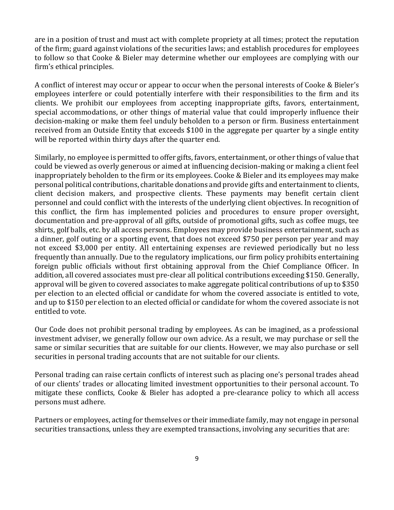are in a position of trust and must act with complete propriety at all times; protect the reputation of the firm; guard against violations of the securities laws; and establish procedures for employees to follow so that Cooke & Bieler may determine whether our employees are complying with our firm's ethical principles.

A conflict of interest may occur or appear to occur when the personal interests of Cooke & Bieler's employees interfere or could potentially interfere with their responsibilities to the firm and its clients. We prohibit our employees from accepting inappropriate gifts, favors, entertainment, special accommodations, or other things of material value that could improperly influence their decision-making or make them feel unduly beholden to a person or firm. Business entertainment received from an Outside Entity that exceeds \$100 in the aggregate per quarter by a single entity will be reported within thirty days after the quarter end.

Similarly, no employee is permitted to offer gifts, favors, entertainment, or other things of value that could be viewed as overly generous or aimed at influencing decision-making or making a client feel inappropriately beholden to the firm or its employees. Cooke & Bieler and its employees may make personal political contributions, charitable donations and provide gifts and entertainment to clients, client decision makers, and prospective clients. These payments may benefit certain client personnel and could conflict with the interests of the underlying client objectives. In recognition of this conflict, the firm has implemented policies and procedures to ensure proper oversight, documentation and pre-approval of all gifts, outside of promotional gifts, such as coffee mugs, tee shirts, golf balls, etc. by all access persons. Employees may provide business entertainment, such as a dinner, golf outing or a sporting event, that does not exceed \$750 per person per year and may not exceed \$3,000 per entity. All entertaining expenses are reviewed periodically but no less frequently than annually. Due to the regulatory implications, our firm policy prohibits entertaining foreign public officials without first obtaining approval from the Chief Compliance Officer. In addition, all covered associates must pre-clear all political contributions exceeding \$150. Generally, approval will be given to covered associates to make aggregate political contributions of up to \$350 per election to an elected official or candidate for whom the covered associate is entitled to vote, and up to \$150 per election to an elected official or candidate for whom the covered associate is not entitled to vote.

Our Code does not prohibit personal trading by employees. As can be imagined, as a professional investment adviser, we generally follow our own advice. As a result, we may purchase or sell the same or similar securities that are suitable for our clients. However, we may also purchase or sell securities in personal trading accounts that are not suitable for our clients.

Personal trading can raise certain conflicts of interest such as placing one's personal trades ahead of our clients' trades or allocating limited investment opportunities to their personal account. To mitigate these conflicts, Cooke & Bieler has adopted a pre-clearance policy to which all access persons must adhere.

Partners or employees, acting for themselves or their immediate family, may not engage in personal securities transactions, unless they are exempted transactions, involving any securities that are: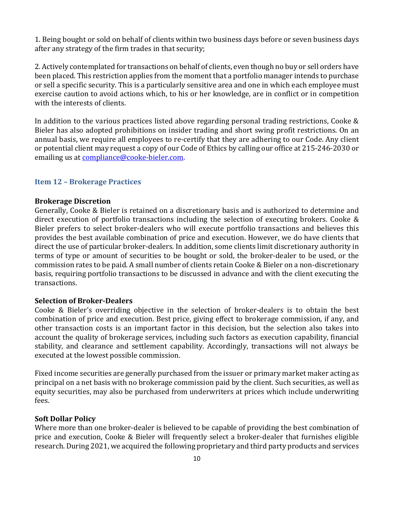1. Being bought or sold on behalf of clients within two business days before or seven business days after any strategy of the firm trades in that security;

2. Actively contemplated for transactions on behalf of clients, even though no buy or sell orders have been placed. This restriction applies from the moment that a portfolio manager intends to purchase or sell a specific security. This is a particularly sensitive area and one in which each employee must exercise caution to avoid actions which, to his or her knowledge, are in conflict or in competition with the interests of clients.

In addition to the various practices listed above regarding personal trading restrictions, Cooke & Bieler has also adopted prohibitions on insider trading and short swing profit restrictions. On an annual basis, we require all employees to re-certify that they are adhering to our Code. Any client or potential client may request a copy of our Code of Ethics by calling our office at 215-246-2030 or emailing us at [compliance@cooke-bieler.com.](mailto:compliance@cooke-bieler.com)

#### <span id="page-12-0"></span>**Item 12 – Brokerage Practices**

#### **Brokerage Discretion**

Generally, Cooke & Bieler is retained on a discretionary basis and is authorized to determine and direct execution of portfolio transactions including the selection of executing brokers. Cooke & Bieler prefers to select broker-dealers who will execute portfolio transactions and believes this provides the best available combination of price and execution. However, we do have clients that direct the use of particular broker-dealers. In addition, some clients limit discretionary authority in terms of type or amount of securities to be bought or sold, the broker-dealer to be used, or the commission rates to be paid. A small number of clients retain Cooke & Bieler on a non-discretionary basis, requiring portfolio transactions to be discussed in advance and with the client executing the transactions.

#### **Selection of Broker-Dealers**

Cooke & Bieler's overriding objective in the selection of broker-dealers is to obtain the best combination of price and execution. Best price, giving effect to brokerage commission, if any, and other transaction costs is an important factor in this decision, but the selection also takes into account the quality of brokerage services, including such factors as execution capability, financial stability, and clearance and settlement capability. Accordingly, transactions will not always be executed at the lowest possible commission.

Fixed income securities are generally purchased from the issuer or primary market maker acting as principal on a net basis with no brokerage commission paid by the client. Such securities, as well as equity securities, may also be purchased from underwriters at prices which include underwriting fees.

#### **Soft Dollar Policy**

Where more than one broker-dealer is believed to be capable of providing the best combination of price and execution, Cooke & Bieler will frequently select a broker-dealer that furnishes eligible research. During 2021, we acquired the following proprietary and third party products and services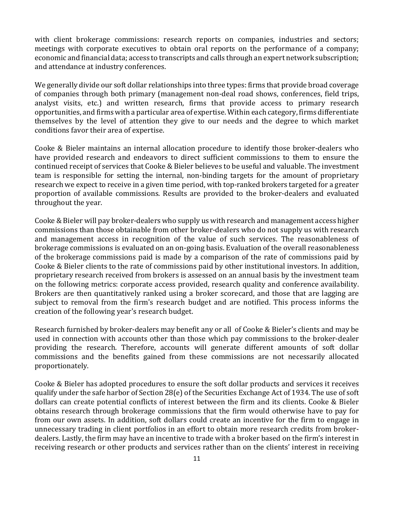with client brokerage commissions: research reports on companies, industries and sectors; meetings with corporate executives to obtain oral reports on the performance of a company; economic and financial data; access to transcripts and calls through an expert network subscription; and attendance at industry conferences.

We generally divide our soft dollar relationships into three types: firms that provide broad coverage of companies through both primary (management non-deal road shows, conferences, field trips, analyst visits, etc.) and written research, firms that provide access to primary research opportunities, and firms with a particular area of expertise. Within each category, firms differentiate themselves by the level of attention they give to our needs and the degree to which market conditions favor their area of expertise.

Cooke & Bieler maintains an internal allocation procedure to identify those broker-dealers who have provided research and endeavors to direct sufficient commissions to them to ensure the continued receipt of services that Cooke & Bieler believes to be useful and valuable. The investment team is responsible for setting the internal, non-binding targets for the amount of proprietary research we expect to receive in a given time period, with top-ranked brokers targeted for a greater proportion of available commissions. Results are provided to the broker-dealers and evaluated throughout the year.

Cooke & Bieler will pay broker-dealers who supply us with research and management access higher commissions than those obtainable from other broker-dealers who do not supply us with research and management access in recognition of the value of such services. The reasonableness of brokerage commissions is evaluated on an on-going basis. Evaluation of the overall reasonableness of the brokerage commissions paid is made by a comparison of the rate of commissions paid by Cooke & Bieler clients to the rate of commissions paid by other institutional investors. In addition, proprietary research received from brokers is assessed on an annual basis by the investment team on the following metrics: corporate access provided, research quality and conference availability. Brokers are then quantitatively ranked using a broker scorecard, and those that are lagging are subject to removal from the firm's research budget and are notified. This process informs the creation of the following year's research budget.

Research furnished by broker-dealers may benefit any or all of Cooke & Bieler's clients and may be used in connection with accounts other than those which pay commissions to the broker-dealer providing the research. Therefore, accounts will generate different amounts of soft dollar commissions and the benefits gained from these commissions are not necessarily allocated proportionately.

Cooke & Bieler has adopted procedures to ensure the soft dollar products and services it receives qualify under the safe harbor of Section 28(e) of the Securities Exchange Act of 1934. The use of soft dollars can create potential conflicts of interest between the firm and its clients. Cooke & Bieler obtains research through brokerage commissions that the firm would otherwise have to pay for from our own assets. In addition, soft dollars could create an incentive for the firm to engage in unnecessary trading in client portfolios in an effort to obtain more research credits from brokerdealers. Lastly, the firm may have an incentive to trade with a broker based on the firm's interest in receiving research or other products and services rather than on the clients' interest in receiving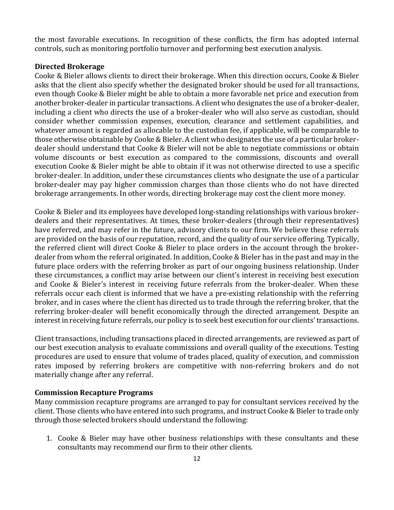the most favorable executions. In recognition of these conflicts, the firm has adopted internal controls, such as monitoring portfolio turnover and performing best execution analysis.

# **Directed Brokerage**

Cooke & Bieler allows clients to direct their brokerage. When this direction occurs, Cooke & Bieler asks that the client also specify whether the designated broker should be used for all transactions, even though Cooke & Bieler might be able to obtain a more favorable net price and execution from another broker-dealer in particular transactions. A client who designates the use of a broker-dealer, including a client who directs the use of a broker-dealer who will also serve as custodian, should consider whether commission expenses, execution, clearance and settlement capabilities, and whatever amount is regarded as allocable to the custodian fee, if applicable, will be comparable to those otherwise obtainable by Cooke & Bieler. A client who designates the use of a particular brokerdealer should understand that Cooke & Bieler will not be able to negotiate commissions or obtain volume discounts or best execution as compared to the commissions, discounts and overall execution Cooke & Bieler might be able to obtain if it was not otherwise directed to use a specific broker-dealer. In addition, under these circumstances clients who designate the use of a particular broker-dealer may pay higher commission charges than those clients who do not have directed brokerage arrangements. In other words, directing brokerage may cost the client more money.

Cooke & Bieler and its employees have developed long-standing relationships with various brokerdealers and their representatives. At times, these broker-dealers (through their representatives) have referred, and may refer in the future, advisory clients to our firm. We believe these referrals are provided on the basis of our reputation, record, and the quality of our service offering. Typically, the referred client will direct Cooke & Bieler to place orders in the account through the brokerdealer from whom the referral originated. In addition, Cooke & Bieler has in the past and may in the future place orders with the referring broker as part of our ongoing business relationship. Under these circumstances, a conflict may arise between our client's interest in receiving best execution and Cooke & Bieler's interest in receiving future referrals from the broker-dealer. When these referrals occur each client is informed that we have a pre-existing relationship with the referring broker, and in cases where the client has directed us to trade through the referring broker, that the referring broker-dealer will benefit economically through the directed arrangement. Despite an interest in receiving future referrals, our policy is to seek best execution for our clients' transactions.

Client transactions, including transactions placed in directed arrangements, are reviewed as part of our best execution analysis to evaluate commissions and overall quality of the executions. Testing procedures are used to ensure that volume of trades placed, quality of execution, and commission rates imposed by referring brokers are competitive with non-referring brokers and do not materially change after any referral.

#### **Commission Recapture Programs**

Many commission recapture programs are arranged to pay for consultant services received by the client. Those clients who have entered into such programs, and instruct Cooke & Bieler to trade only through those selected brokers should understand the following:

1. Cooke & Bieler may have other business relationships with these consultants and these consultants may recommend our firm to their other clients.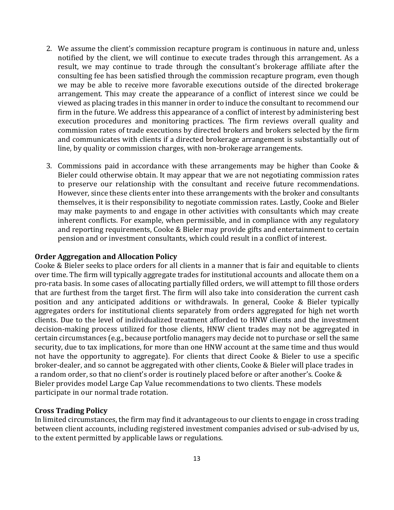- 2. We assume the client's commission recapture program is continuous in nature and, unless notified by the client, we will continue to execute trades through this arrangement. As a result, we may continue to trade through the consultant's brokerage affiliate after the consulting fee has been satisfied through the commission recapture program, even though we may be able to receive more favorable executions outside of the directed brokerage arrangement. This may create the appearance of a conflict of interest since we could be viewed as placing trades in this manner in order to induce the consultant to recommend our firm in the future. We address this appearance of a conflict of interest by administering best execution procedures and monitoring practices. The firm reviews overall quality and commission rates of trade executions by directed brokers and brokers selected by the firm and communicates with clients if a directed brokerage arrangement is substantially out of line, by quality or commission charges, with non-brokerage arrangements.
- 3. Commissions paid in accordance with these arrangements may be higher than Cooke & Bieler could otherwise obtain. It may appear that we are not negotiating commission rates to preserve our relationship with the consultant and receive future recommendations. However, since these clients enter into these arrangements with the broker and consultants themselves, it is their responsibility to negotiate commission rates. Lastly, Cooke and Bieler may make payments to and engage in other activities with consultants which may create inherent conflicts. For example, when permissible, and in compliance with any regulatory and reporting requirements, Cooke & Bieler may provide gifts and entertainment to certain pension and or investment consultants, which could result in a conflict of interest.

#### **Order Aggregation and Allocation Policy**

Cooke & Bieler seeks to place orders for all clients in a manner that is fair and equitable to clients over time. The firm will typically aggregate trades for institutional accounts and allocate them on a pro-rata basis. In some cases of allocating partially filled orders, we will attempt to fill those orders that are furthest from the target first. The firm will also take into consideration the current cash position and any anticipated additions or withdrawals. In general, Cooke & Bieler typically aggregates orders for institutional clients separately from orders aggregated for high net worth clients. Due to the level of individualized treatment afforded to HNW clients and the investment decision-making process utilized for those clients, HNW client trades may not be aggregated in certain circumstances (e.g., because portfolio managers may decide not to purchase or sell the same security, due to tax implications, for more than one HNW account at the same time and thus would not have the opportunity to aggregate). For clients that direct Cooke & Bieler to use a specific broker-dealer, and so cannot be aggregated with other clients, Cooke & Bieler will place trades in a random order, so that no client's order is routinely placed before or after another's. Cooke & Bieler provides model Large Cap Value recommendations to two clients. These models participate in our normal trade rotation.

#### **Cross Trading Policy**

In limited circumstances, the firm may find it advantageous to our clients to engage in cross trading between client accounts, including registered investment companies advised or sub-advised by us, to the extent permitted by applicable laws or regulations.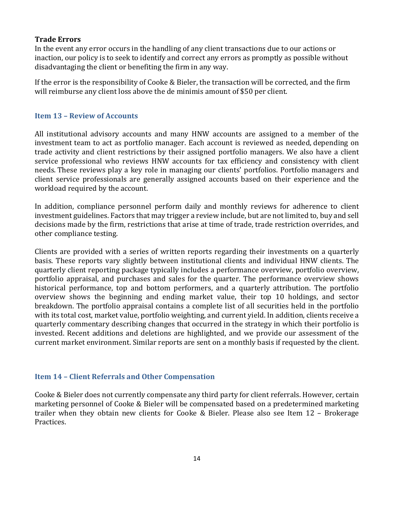# **Trade Errors**

In the event any error occurs in the handling of any client transactions due to our actions or inaction, our policy is to seek to identify and correct any errors as promptly as possible without disadvantaging the client or benefiting the firm in any way.

If the error is the responsibility of Cooke & Bieler, the transaction will be corrected, and the firm will reimburse any client loss above the de minimis amount of \$50 per client.

# <span id="page-16-0"></span>**Item 13 – Review of Accounts**

All institutional advisory accounts and many HNW accounts are assigned to a member of the investment team to act as portfolio manager. Each account is reviewed as needed, depending on trade activity and client restrictions by their assigned portfolio managers. We also have a client service professional who reviews HNW accounts for tax efficiency and consistency with client needs. These reviews play a key role in managing our clients' portfolios. Portfolio managers and client service professionals are generally assigned accounts based on their experience and the workload required by the account.

In addition, compliance personnel perform daily and monthly reviews for adherence to client investment guidelines. Factors that may trigger a review include, but are not limited to, buy and sell decisions made by the firm, restrictions that arise at time of trade, trade restriction overrides, and other compliance testing.

Clients are provided with a series of written reports regarding their investments on a quarterly basis. These reports vary slightly between institutional clients and individual HNW clients. The quarterly client reporting package typically includes a performance overview, portfolio overview, portfolio appraisal, and purchases and sales for the quarter. The performance overview shows historical performance, top and bottom performers, and a quarterly attribution. The portfolio overview shows the beginning and ending market value, their top 10 holdings, and sector breakdown. The portfolio appraisal contains a complete list of all securities held in the portfolio with its total cost, market value, portfolio weighting, and current yield. In addition, clients receive a quarterly commentary describing changes that occurred in the strategy in which their portfolio is invested. Recent additions and deletions are highlighted, and we provide our assessment of the current market environment. Similar reports are sent on a monthly basis if requested by the client.

# <span id="page-16-1"></span>**Item 14 – Client Referrals and Other Compensation**

Cooke & Bieler does not currently compensate any third party for client referrals. However, certain marketing personnel of Cooke & Bieler will be compensated based on a predetermined marketing trailer when they obtain new clients for Cooke & Bieler. Please also see Item 12 – Brokerage Practices.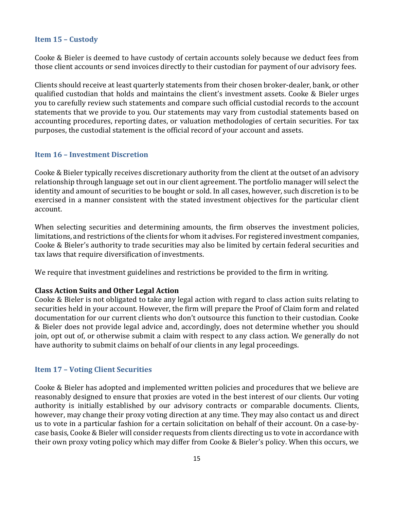#### <span id="page-17-0"></span>**Item 15 – Custody**

Cooke & Bieler is deemed to have custody of certain accounts solely because we deduct fees from those client accounts or send invoices directly to their custodian for payment of our advisory fees.

Clients should receive at least quarterly statements from their chosen broker-dealer, bank, or other qualified custodian that holds and maintains the client's investment assets. Cooke & Bieler urges you to carefully review such statements and compare such official custodial records to the account statements that we provide to you. Our statements may vary from custodial statements based on accounting procedures, reporting dates, or valuation methodologies of certain securities. For tax purposes, the custodial statement is the official record of your account and assets.

#### <span id="page-17-1"></span>**Item 16 – Investment Discretion**

Cooke & Bieler typically receives discretionary authority from the client at the outset of an advisory relationship through language set out in our client agreement. The portfolio manager will select the identity and amount of securities to be bought or sold. In all cases, however, such discretion is to be exercised in a manner consistent with the stated investment objectives for the particular client account.

When selecting securities and determining amounts, the firm observes the investment policies, limitations, and restrictions of the clients for whom it advises. For registered investment companies, Cooke & Bieler's authority to trade securities may also be limited by certain federal securities and tax laws that require diversification of investments.

We require that investment guidelines and restrictions be provided to the firm in writing.

#### **Class Action Suits and Other Legal Action**

Cooke & Bieler is not obligated to take any legal action with regard to class action suits relating to securities held in your account. However, the firm will prepare the Proof of Claim form and related documentation for our current clients who don't outsource this function to their custodian. Cooke & Bieler does not provide legal advice and, accordingly, does not determine whether you should join, opt out of, or otherwise submit a claim with respect to any class action. We generally do not have authority to submit claims on behalf of our clients in any legal proceedings.

#### <span id="page-17-2"></span>**Item 17 – Voting Client Securities**

Cooke & Bieler has adopted and implemented written policies and procedures that we believe are reasonably designed to ensure that proxies are voted in the best interest of our clients. Our voting authority is initially established by our advisory contracts or comparable documents. Clients, however, may change their proxy voting direction at any time. They may also contact us and direct us to vote in a particular fashion for a certain solicitation on behalf of their account. On a case-bycase basis, Cooke & Bieler will consider requests from clients directing us to vote in accordance with their own proxy voting policy which may differ from Cooke & Bieler's policy. When this occurs, we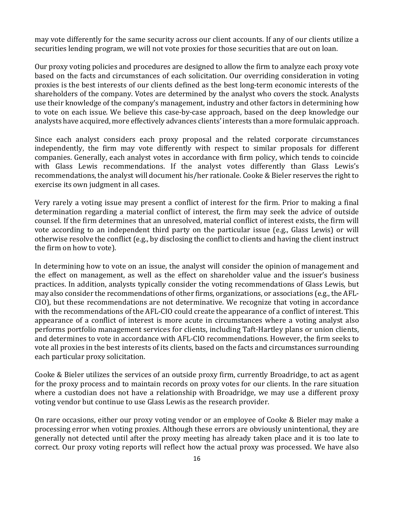may vote differently for the same security across our client accounts. If any of our clients utilize a securities lending program, we will not vote proxies for those securities that are out on loan.

Our proxy voting policies and procedures are designed to allow the firm to analyze each proxy vote based on the facts and circumstances of each solicitation. Our overriding consideration in voting proxies is the best interests of our clients defined as the best long-term economic interests of the shareholders of the company. Votes are determined by the analyst who covers the stock. Analysts use their knowledge of the company's management, industry and other factors in determining how to vote on each issue. We believe this case-by-case approach, based on the deep knowledge our analysts have acquired, more effectively advances clients' interests than a more formulaic approach.

Since each analyst considers each proxy proposal and the related corporate circumstances independently, the firm may vote differently with respect to similar proposals for different companies. Generally, each analyst votes in accordance with firm policy, which tends to coincide with Glass Lewis recommendations. If the analyst votes differently than Glass Lewis's recommendations, the analyst will document his/her rationale. Cooke & Bieler reserves the right to exercise its own judgment in all cases.

Very rarely a voting issue may present a conflict of interest for the firm. Prior to making a final determination regarding a material conflict of interest, the firm may seek the advice of outside counsel. If the firm determines that an unresolved, material conflict of interest exists, the firm will vote according to an independent third party on the particular issue (e.g., Glass Lewis) or will otherwise resolve the conflict (e.g., by disclosing the conflict to clients and having the client instruct the firm on how to vote).

In determining how to vote on an issue, the analyst will consider the opinion of management and the effect on management, as well as the effect on shareholder value and the issuer's business practices. In addition, analysts typically consider the voting recommendations of Glass Lewis, but may also consider the recommendations of other firms, organizations, or associations (e.g., the AFL-CIO), but these recommendations are not determinative. We recognize that voting in accordance with the recommendations of the AFL-CIO could create the appearance of a conflict of interest. This appearance of a conflict of interest is more acute in circumstances where a voting analyst also performs portfolio management services for clients, including Taft-Hartley plans or union clients, and determines to vote in accordance with AFL-CIO recommendations. However, the firm seeks to vote all proxies in the best interests of its clients, based on the facts and circumstances surrounding each particular proxy solicitation.

Cooke & Bieler utilizes the services of an outside proxy firm, currently Broadridge, to act as agent for the proxy process and to maintain records on proxy votes for our clients. In the rare situation where a custodian does not have a relationship with Broadridge, we may use a different proxy voting vendor but continue to use Glass Lewis as the research provider.

On rare occasions, either our proxy voting vendor or an employee of Cooke & Bieler may make a processing error when voting proxies. Although these errors are obviously unintentional, they are generally not detected until after the proxy meeting has already taken place and it is too late to correct. Our proxy voting reports will reflect how the actual proxy was processed. We have also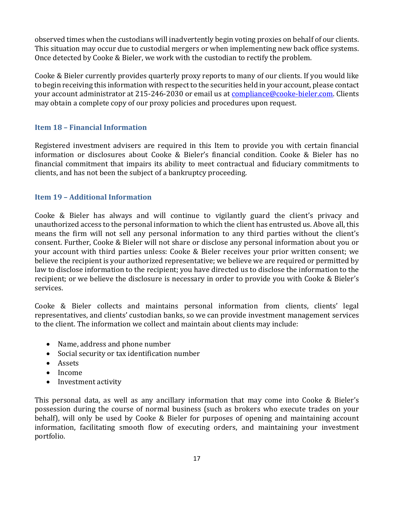observed times when the custodians will inadvertently begin voting proxies on behalf of our clients. This situation may occur due to custodial mergers or when implementing new back office systems. Once detected by Cooke & Bieler, we work with the custodian to rectify the problem.

Cooke & Bieler currently provides quarterly proxy reports to many of our clients. If you would like to begin receiving this information with respect to the securities held in your account, please contact your account administrator at 215-246-2030 or email us at [compliance@cooke-bieler.com.](mailto:compliance@cooke-bieler.com) Clients may obtain a complete copy of our proxy policies and procedures upon request.

# <span id="page-19-0"></span>**Item 18 – Financial Information**

Registered investment advisers are required in this Item to provide you with certain financial information or disclosures about Cooke & Bieler's financial condition. Cooke & Bieler has no financial commitment that impairs its ability to meet contractual and fiduciary commitments to clients, and has not been the subject of a bankruptcy proceeding.

# <span id="page-19-1"></span>**Item 19 – Additional Information**

Cooke & Bieler has always and will continue to vigilantly guard the client's privacy and unauthorized access to the personal information to which the client has entrusted us. Above all, this means the firm will not sell any personal information to any third parties without the client's consent. Further, Cooke & Bieler will not share or disclose any personal information about you or your account with third parties unless: Cooke & Bieler receives your prior written consent; we believe the recipient is your authorized representative; we believe we are required or permitted by law to disclose information to the recipient; you have directed us to disclose the information to the recipient; or we believe the disclosure is necessary in order to provide you with Cooke & Bieler's services.

Cooke & Bieler collects and maintains personal information from clients, clients' legal representatives, and clients' custodian banks, so we can provide investment management services to the client. The information we collect and maintain about clients may include:

- Name, address and phone number
- Social security or tax identification number
- Assets
- Income
- Investment activity

This personal data, as well as any ancillary information that may come into Cooke & Bieler's possession during the course of normal business (such as brokers who execute trades on your behalf), will only be used by Cooke & Bieler for purposes of opening and maintaining account information, facilitating smooth flow of executing orders, and maintaining your investment portfolio.